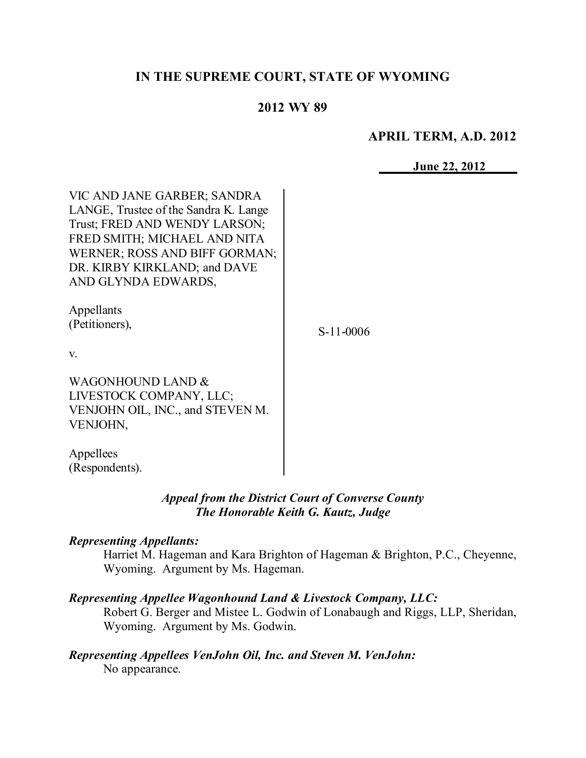# **IN THE SUPREME COURT, STATE OF WYOMING**

# **2012 WY 89**

## **APRIL TERM, A.D. 2012**

**June 22, 2012**

| VIC AND JANE GARBER; SANDRA<br>LANGE, Trustee of the Sandra K. Lange<br>Trust; FRED AND WENDY LARSON;<br>FRED SMITH; MICHAEL AND NITA<br>WERNER; ROSS AND BIFF GORMAN;<br>DR. KIRBY KIRKLAND; and DAVE<br>AND GLYNDA EDWARDS, |             |
|-------------------------------------------------------------------------------------------------------------------------------------------------------------------------------------------------------------------------------|-------------|
| Appellants<br>(Petitioners),<br>V.                                                                                                                                                                                            | $S-11-0006$ |
| WAGONHOUND LAND &<br>LIVESTOCK COMPANY, LLC;<br>VENJOHN OIL, INC., and STEVEN M.<br>VENJOHN.                                                                                                                                  |             |
| Appellees<br>(Respondents).                                                                                                                                                                                                   |             |

## *Appeal from the District Court of Converse County The Honorable Keith G. Kautz, Judge*

#### *Representing Appellants:*

Harriet M. Hageman and Kara Brighton of Hageman & Brighton, P.C., Cheyenne, Wyoming. Argument by Ms. Hageman.

#### *Representing Appellee Wagonhound Land & Livestock Company, LLC:*

Robert G. Berger and Mistee L. Godwin of Lonabaugh and Riggs, LLP, Sheridan, Wyoming. Argument by Ms. Godwin.

# *Representing Appellees VenJohn Oil, Inc. and Steven M. VenJohn:*

No appearance.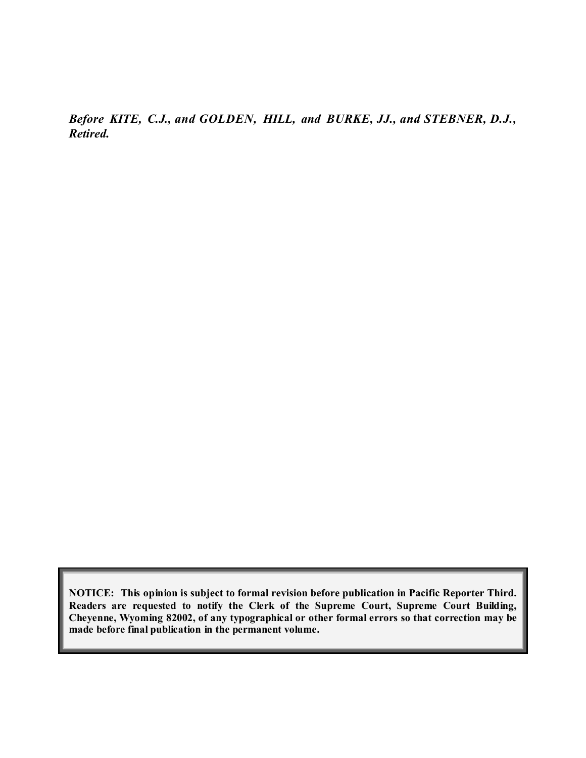*Before KITE, C.J., and GOLDEN, HILL, and BURKE, JJ., and STEBNER, D.J., Retired.*

**NOTICE: This opinion is subject to formal revision before publication in Pacific Reporter Third. Readers are requested to notify the Clerk of the Supreme Court, Supreme Court Building, Cheyenne, Wyoming 82002, of any typographical or other formal errors so that correction may be made before final publication in the permanent volume.**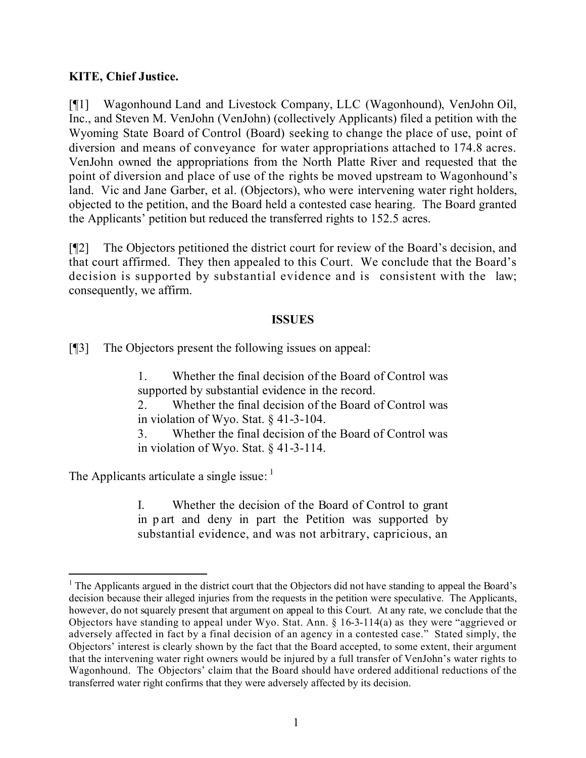# **KITE, Chief Justice.**

[¶1] Wagonhound Land and Livestock Company, LLC (Wagonhound), VenJohn Oil, Inc., and Steven M. VenJohn (VenJohn) (collectively Applicants) filed a petition with the Wyoming State Board of Control (Board) seeking to change the place of use, point of diversion and means of conveyance for water appropriations attached to 174.8 acres. VenJohn owned the appropriations from the North Platte River and requested that the point of diversion and place of use of the rights be moved upstream to Wagonhound's land. Vic and Jane Garber, et al. (Objectors), who were intervening water right holders, objected to the petition, and the Board held a contested case hearing. The Board granted the Applicants' petition but reduced the transferred rights to 152.5 acres.

[¶2] The Objectors petitioned the district court for review of the Board's decision, and that court affirmed. They then appealed to this Court. We conclude that the Board's decision is supported by substantial evidence and is consistent with the law; consequently, we affirm.

#### **ISSUES**

[¶3] The Objectors present the following issues on appeal:

1. Whether the final decision of the Board of Control was supported by substantial evidence in the record. 2. Whether the final decision of the Board of Control was in violation of Wyo. Stat. § 41-3-104. 3. Whether the final decision of the Board of Control was in violation of Wyo. Stat. § 41-3-114.

The Applicants articulate a single issue:  $1$ 

 $\overline{a}$ 

I. Whether the decision of the Board of Control to grant in part and deny in part the Petition was supported by substantial evidence, and was not arbitrary, capricious, an

<sup>&</sup>lt;sup>1</sup> The Applicants argued in the district court that the Objectors did not have standing to appeal the Board's decision because their alleged injuries from the requests in the petition were speculative. The Applicants, however, do not squarely present that argument on appeal to this Court. At any rate, we conclude that the Objectors have standing to appeal under Wyo. Stat. Ann. § 16-3-114(a) as they were "aggrieved or adversely affected in fact by a final decision of an agency in a contested case." Stated simply, the Objectors' interest is clearly shown by the fact that the Board accepted, to some extent, their argument that the intervening water right owners would be injured by a full transfer of VenJohn's water rights to Wagonhound. The Objectors' claim that the Board should have ordered additional reductions of the transferred water right confirms that they were adversely affected by its decision.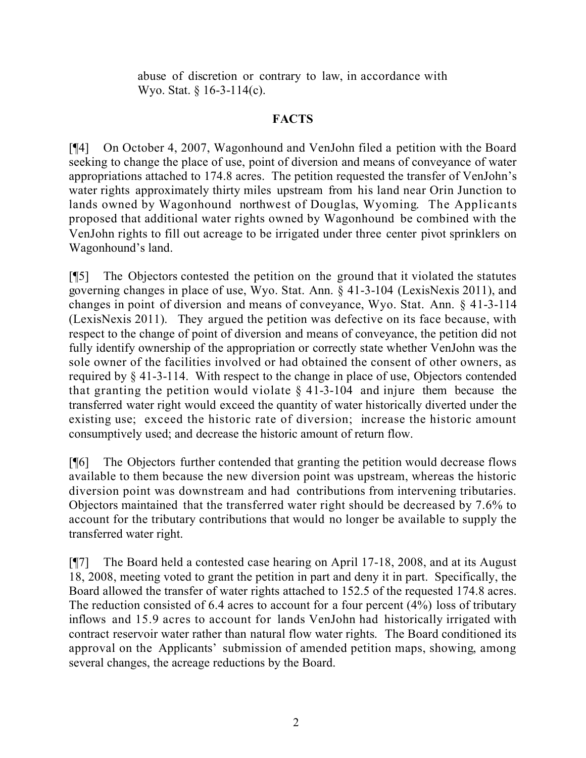abuse of discretion or contrary to law, in accordance with Wyo. Stat. § 16-3-114(c).

# **FACTS**

[¶4] On October 4, 2007, Wagonhound and VenJohn filed a petition with the Board seeking to change the place of use, point of diversion and means of conveyance of water appropriations attached to 174.8 acres. The petition requested the transfer of VenJohn's water rights approximately thirty miles upstream from his land near Orin Junction to lands owned by Wagonhound northwest of Douglas, Wyoming. The Applicants proposed that additional water rights owned by Wagonhound be combined with the VenJohn rights to fill out acreage to be irrigated under three center pivot sprinklers on Wagonhound's land.

[¶5] The Objectors contested the petition on the ground that it violated the statutes governing changes in place of use, Wyo. Stat. Ann. § 41-3-104 (LexisNexis 2011), and changes in point of diversion and means of conveyance, Wyo. Stat. Ann. § 41-3-114 (LexisNexis 2011). They argued the petition was defective on its face because, with respect to the change of point of diversion and means of conveyance, the petition did not fully identify ownership of the appropriation or correctly state whether VenJohn was the sole owner of the facilities involved or had obtained the consent of other owners, as required by § 41-3-114. With respect to the change in place of use, Objectors contended that granting the petition would violate  $\S$  41-3-104 and injure them because the transferred water right would exceed the quantity of water historically diverted under the existing use; exceed the historic rate of diversion; increase the historic amount consumptively used; and decrease the historic amount of return flow.

[¶6] The Objectors further contended that granting the petition would decrease flows available to them because the new diversion point was upstream, whereas the historic diversion point was downstream and had contributions from intervening tributaries. Objectors maintained that the transferred water right should be decreased by 7.6% to account for the tributary contributions that would no longer be available to supply the transferred water right.

[¶7] The Board held a contested case hearing on April 17-18, 2008, and at its August 18, 2008, meeting voted to grant the petition in part and deny it in part. Specifically, the Board allowed the transfer of water rights attached to 152.5 of the requested 174.8 acres. The reduction consisted of 6.4 acres to account for a four percent (4%) loss of tributary inflows and 15.9 acres to account for lands VenJohn had historically irrigated with contract reservoir water rather than natural flow water rights. The Board conditioned its approval on the Applicants' submission of amended petition maps, showing, among several changes, the acreage reductions by the Board.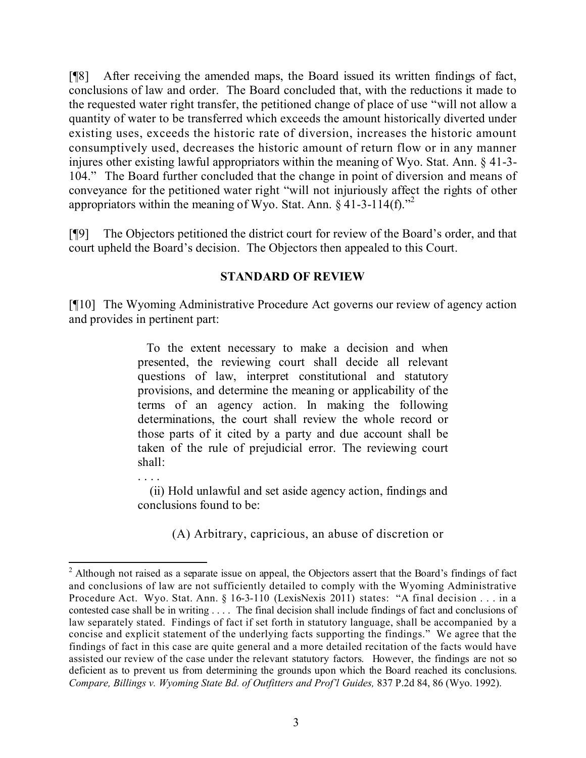[¶8] After receiving the amended maps, the Board issued its written findings of fact, conclusions of law and order. The Board concluded that, with the reductions it made to the requested water right transfer, the petitioned change of place of use "will not allow a quantity of water to be transferred which exceeds the amount historically diverted under existing uses, exceeds the historic rate of diversion, increases the historic amount consumptively used, decreases the historic amount of return flow or in any manner injures other existing lawful appropriators within the meaning of Wyo. Stat. Ann. § 41-3- 104." The Board further concluded that the change in point of diversion and means of conveyance for the petitioned water right "will not injuriously affect the rights of other appropriators within the meaning of Wyo. Stat. Ann.  $\S$  41-3-114(f).<sup>32</sup>

[¶9] The Objectors petitioned the district court for review of the Board's order, and that court upheld the Board's decision. The Objectors then appealed to this Court.

## **STANDARD OF REVIEW**

[¶10] The Wyoming Administrative Procedure Act governs our review of agency action and provides in pertinent part:

> To the extent necessary to make a decision and when presented, the reviewing court shall decide all relevant questions of law, interpret constitutional and statutory provisions, and determine the meaning or applicability of the terms of an agency action. In making the following determinations, the court shall review the whole record or those parts of it cited by a party and due account shall be taken of the rule of prejudicial error. The reviewing court shall:

> (ii) Hold unlawful and set aside agency action, findings and conclusions found to be:

> > (A) Arbitrary, capricious, an abuse of discretion or

 $\overline{a}$ 

 $2$  Although not raised as a separate issue on appeal, the Objectors assert that the Board's findings of fact and conclusions of law are not sufficiently detailed to comply with the Wyoming Administrative Procedure Act. Wyo. Stat. Ann. § 16-3-110 (LexisNexis 2011) states: "A final decision . . . in a contested case shall be in writing . . . . The final decision shall include findings of fact and conclusions of law separately stated. Findings of fact if set forth in statutory language, shall be accompanied by a concise and explicit statement of the underlying facts supporting the findings." We agree that the findings of fact in this case are quite general and a more detailed recitation of the facts would have assisted our review of the case under the relevant statutory factors. However, the findings are not so deficient as to prevent us from determining the grounds upon which the Board reached its conclusions. *Compare, Billings v. Wyoming State Bd. of Outfitters and Prof'l Guides,* 837 P.2d 84, 86 (Wyo. 1992).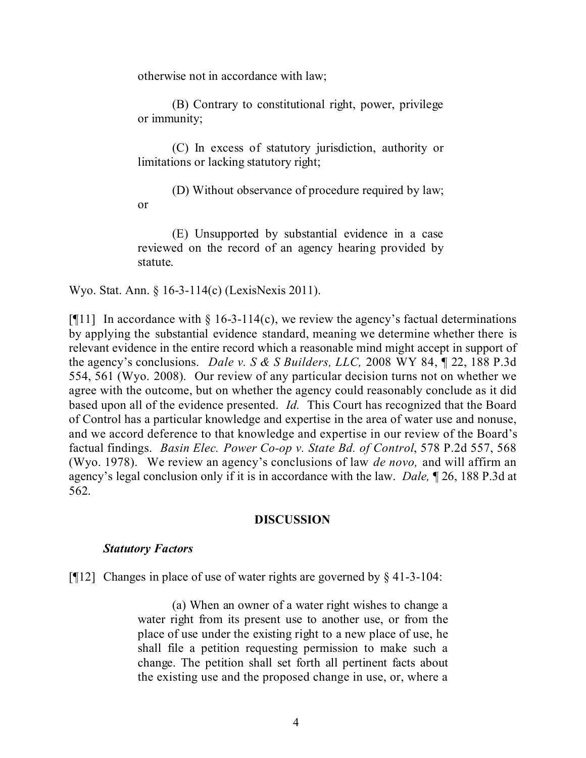otherwise not in accordance with law;

(B) Contrary to constitutional right, power, privilege or immunity;

(C) In excess of statutory jurisdiction, authority or limitations or lacking statutory right;

(D) Without observance of procedure required by law; or

(E) Unsupported by substantial evidence in a case reviewed on the record of an agency hearing provided by statute.

Wyo. Stat. Ann. § 16-3-114(c) (LexisNexis 2011).

[ $[$ [11] In accordance with § 16-3-114(c), we review the agency's factual determinations by applying the substantial evidence standard, meaning we determine whether there is relevant evidence in the entire record which a reasonable mind might accept in support of the agency's conclusions. *Dale v. S & S Builders, LLC,* 2008 WY 84, ¶ 22, 188 P.3d 554, 561 (Wyo. 2008). Our review of any particular decision turns not on whether we agree with the outcome, but on whether the agency could reasonably conclude as it did based upon all of the evidence presented. *Id.* This Court has recognized that the Board of Control has a particular knowledge and expertise in the area of water use and nonuse, and we accord deference to that knowledge and expertise in our review of the Board's factual findings. *Basin Elec. Power Co-op v. State Bd. of Control*, 578 P.2d 557, 568 (Wyo. 1978). We review an agency's conclusions of law *de novo,* and will affirm an agency's legal conclusion only if it is in accordance with the law. *Dale,* ¶ 26, 188 P.3d at 562.

## **DISCUSSION**

#### *Statutory Factors*

[¶12] Changes in place of use of water rights are governed by § 41-3-104:

(a) When an owner of a water right wishes to change a water right from its present use to another use, or from the place of use under the existing right to a new place of use, he shall file a petition requesting permission to make such a change. The petition shall set forth all pertinent facts about the existing use and the proposed change in use, or, where a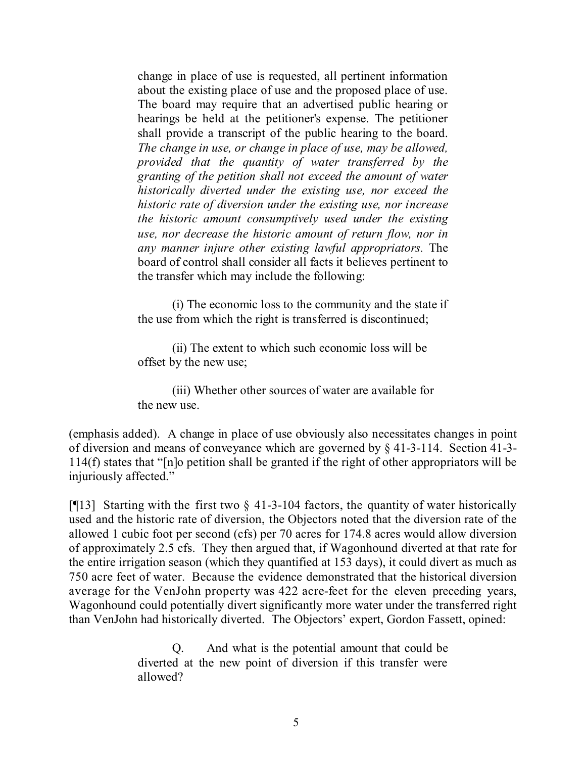change in place of use is requested, all pertinent information about the existing place of use and the proposed place of use. The board may require that an advertised public hearing or hearings be held at the petitioner's expense. The petitioner shall provide a transcript of the public hearing to the board. *The change in use, or change in place of use, may be allowed, provided that the quantity of water transferred by the granting of the petition shall not exceed the amount of water historically diverted under the existing use, nor exceed the historic rate of diversion under the existing use, nor increase the historic amount consumptively used under the existing use, nor decrease the historic amount of return flow, nor in any manner injure other existing lawful appropriators.* The board of control shall consider all facts it believes pertinent to the transfer which may include the following:

(i) The economic loss to the community and the state if the use from which the right is transferred is discontinued;

(ii) The extent to which such economic loss will be offset by the new use;

(iii) Whether other sources of water are available for the new use.

(emphasis added). A change in place of use obviously also necessitates changes in point of diversion and means of conveyance which are governed by § 41-3-114. Section 41-3- 114(f) states that "[n]o petition shall be granted if the right of other appropriators will be injuriously affected."

[ $[13]$ ] Starting with the first two  $\S$  41-3-104 factors, the quantity of water historically used and the historic rate of diversion, the Objectors noted that the diversion rate of the allowed 1 cubic foot per second (cfs) per 70 acres for 174.8 acres would allow diversion of approximately 2.5 cfs. They then argued that, if Wagonhound diverted at that rate for the entire irrigation season (which they quantified at 153 days), it could divert as much as 750 acre feet of water. Because the evidence demonstrated that the historical diversion average for the VenJohn property was 422 acre-feet for the eleven preceding years, Wagonhound could potentially divert significantly more water under the transferred right than VenJohn had historically diverted. The Objectors' expert, Gordon Fassett, opined:

> Q. And what is the potential amount that could be diverted at the new point of diversion if this transfer were allowed?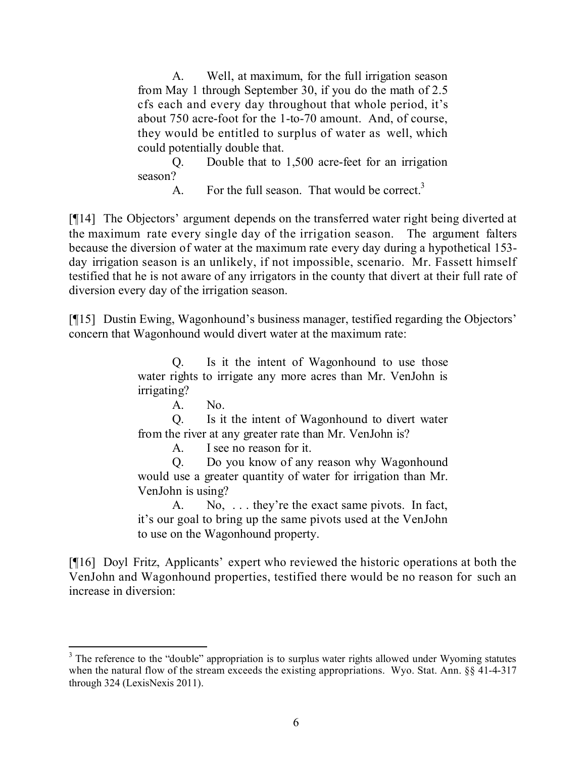A. Well, at maximum, for the full irrigation season from May 1 through September 30, if you do the math of 2.5 cfs each and every day throughout that whole period, it's about 750 acre-foot for the 1-to-70 amount. And, of course, they would be entitled to surplus of water as well, which could potentially double that.

Q. Double that to 1,500 acre-feet for an irrigation season?

A. For the full season. That would be correct.<sup>3</sup>

[¶14] The Objectors' argument depends on the transferred water right being diverted at the maximum rate every single day of the irrigation season. The argument falters because the diversion of water at the maximum rate every day during a hypothetical 153 day irrigation season is an unlikely, if not impossible, scenario. Mr. Fassett himself testified that he is not aware of any irrigators in the county that divert at their full rate of diversion every day of the irrigation season.

[¶15] Dustin Ewing, Wagonhound's business manager, testified regarding the Objectors' concern that Wagonhound would divert water at the maximum rate:

> Q. Is it the intent of Wagonhound to use those water rights to irrigate any more acres than Mr. VenJohn is irrigating?

A. No.

Q. Is it the intent of Wagonhound to divert water from the river at any greater rate than Mr. VenJohn is?

A. I see no reason for it.

Q. Do you know of any reason why Wagonhound would use a greater quantity of water for irrigation than Mr. VenJohn is using?

A. No, . . . they're the exact same pivots. In fact, it's our goal to bring up the same pivots used at the VenJohn to use on the Wagonhound property.

[¶16] Doyl Fritz, Applicants' expert who reviewed the historic operations at both the VenJohn and Wagonhound properties, testified there would be no reason for such an increase in diversion:

<sup>&</sup>lt;sup>3</sup> The reference to the "double" appropriation is to surplus water rights allowed under Wyoming statutes when the natural flow of the stream exceeds the existing appropriations. Wyo. Stat. Ann.  $\S$ § 41-4-317 through 324 (LexisNexis 2011).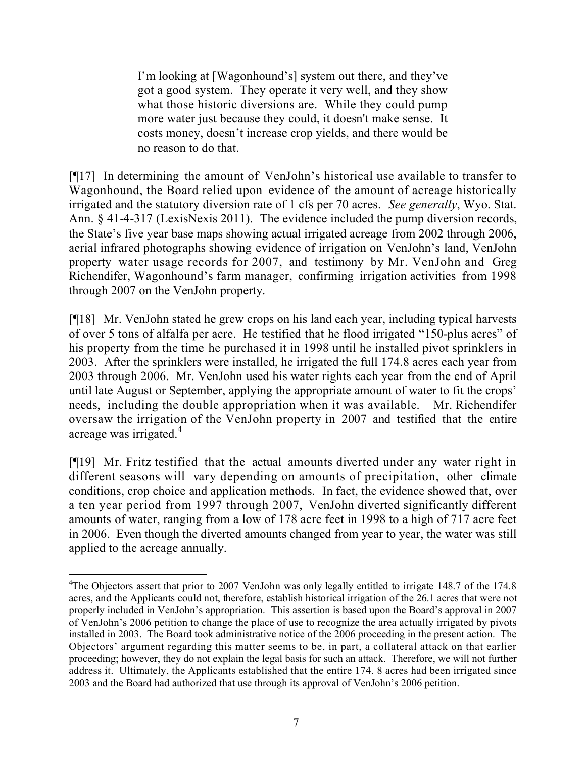I'm looking at [Wagonhound's] system out there, and they've got a good system. They operate it very well, and they show what those historic diversions are. While they could pump more water just because they could, it doesn't make sense. It costs money, doesn't increase crop yields, and there would be no reason to do that.

[¶17] In determining the amount of VenJohn's historical use available to transfer to Wagonhound, the Board relied upon evidence of the amount of acreage historically irrigated and the statutory diversion rate of 1 cfs per 70 acres. *See generally*, Wyo. Stat. Ann. § 41-4-317 (LexisNexis 2011). The evidence included the pump diversion records, the State's five year base maps showing actual irrigated acreage from 2002 through 2006, aerial infrared photographs showing evidence of irrigation on VenJohn's land, VenJohn property water usage records for 2007, and testimony by Mr. VenJohn and Greg Richendifer, Wagonhound's farm manager, confirming irrigation activities from 1998 through 2007 on the VenJohn property.

[¶18] Mr. VenJohn stated he grew crops on his land each year, including typical harvests of over 5 tons of alfalfa per acre. He testified that he flood irrigated "150-plus acres" of his property from the time he purchased it in 1998 until he installed pivot sprinklers in 2003. After the sprinklers were installed, he irrigated the full 174.8 acres each year from 2003 through 2006. Mr. VenJohn used his water rights each year from the end of April until late August or September, applying the appropriate amount of water to fit the crops' needs, including the double appropriation when it was available. Mr. Richendifer oversaw the irrigation of the VenJohn property in 2007 and testified that the entire acreage was irrigated.<sup>4</sup>

[¶19] Mr. Fritz testified that the actual amounts diverted under any water right in different seasons will vary depending on amounts of precipitation, other climate conditions, crop choice and application methods. In fact, the evidence showed that, over a ten year period from 1997 through 2007, VenJohn diverted significantly different amounts of water, ranging from a low of 178 acre feet in 1998 to a high of 717 acre feet in 2006. Even though the diverted amounts changed from year to year, the water was still applied to the acreage annually.

 $\overline{a}$ 

<sup>4</sup>The Objectors assert that prior to 2007 VenJohn was only legally entitled to irrigate 148.7 of the 174.8 acres, and the Applicants could not, therefore, establish historical irrigation of the 26.1 acres that were not properly included in VenJohn's appropriation. This assertion is based upon the Board's approval in 2007 of VenJohn's 2006 petition to change the place of use to recognize the area actually irrigated by pivots installed in 2003. The Board took administrative notice of the 2006 proceeding in the present action. The Objectors' argument regarding this matter seems to be, in part, a collateral attack on that earlier proceeding; however, they do not explain the legal basis for such an attack. Therefore, we will not further address it. Ultimately, the Applicants established that the entire 174. 8 acres had been irrigated since 2003 and the Board had authorized that use through its approval of VenJohn's 2006 petition.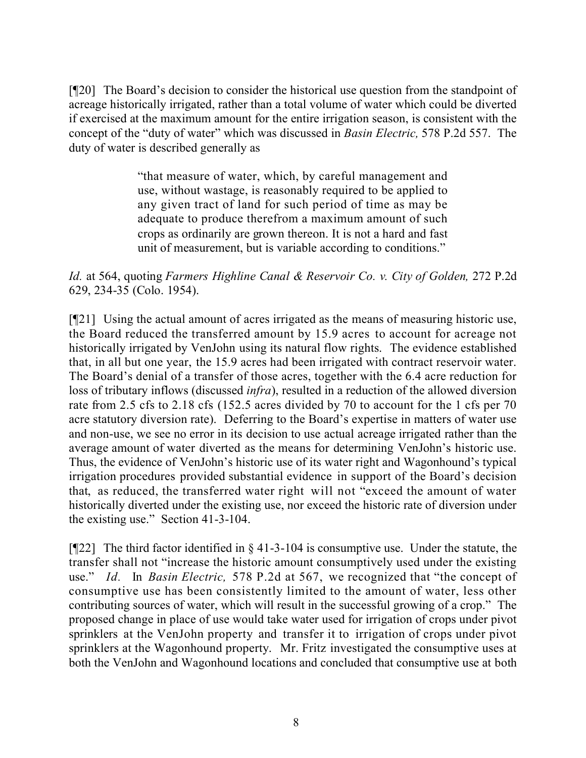[¶20] The Board's decision to consider the historical use question from the standpoint of acreage historically irrigated, rather than a total volume of water which could be diverted if exercised at the maximum amount for the entire irrigation season, is consistent with the concept of the "duty of water" which was discussed in *Basin Electric,* 578 P.2d 557. The duty of water is described generally as

> "that measure of water, which, by careful management and use, without wastage, is reasonably required to be applied to any given tract of land for such period of time as may be adequate to produce therefrom a maximum amount of such crops as ordinarily are grown thereon. It is not a hard and fast unit of measurement, but is variable according to conditions."

*Id.* at 564, quoting *Farmers Highline Canal & Reservoir Co. v. City of Golden,* 272 P.2d 629, 234-35 (Colo. 1954).

[¶21] Using the actual amount of acres irrigated as the means of measuring historic use, the Board reduced the transferred amount by 15.9 acres to account for acreage not historically irrigated by VenJohn using its natural flow rights. The evidence established that, in all but one year, the 15.9 acres had been irrigated with contract reservoir water. The Board's denial of a transfer of those acres, together with the 6.4 acre reduction for loss of tributary inflows (discussed *infra*), resulted in a reduction of the allowed diversion rate from 2.5 cfs to 2.18 cfs (152.5 acres divided by 70 to account for the 1 cfs per 70 acre statutory diversion rate). Deferring to the Board's expertise in matters of water use and non-use, we see no error in its decision to use actual acreage irrigated rather than the average amount of water diverted as the means for determining VenJohn's historic use. Thus, the evidence of VenJohn's historic use of its water right and Wagonhound's typical irrigation procedures provided substantial evidence in support of the Board's decision that, as reduced, the transferred water right will not "exceed the amount of water historically diverted under the existing use, nor exceed the historic rate of diversion under the existing use." Section 41-3-104.

[ $[$ [22] The third factor identified in § 41-3-104 is consumptive use. Under the statute, the transfer shall not "increase the historic amount consumptively used under the existing use." *Id.* In *Basin Electric,* 578 P.2d at 567, we recognized that "the concept of consumptive use has been consistently limited to the amount of water, less other contributing sources of water, which will result in the successful growing of a crop." The proposed change in place of use would take water used for irrigation of crops under pivot sprinklers at the VenJohn property and transfer it to irrigation of crops under pivot sprinklers at the Wagonhound property. Mr. Fritz investigated the consumptive uses at both the VenJohn and Wagonhound locations and concluded that consumptive use at both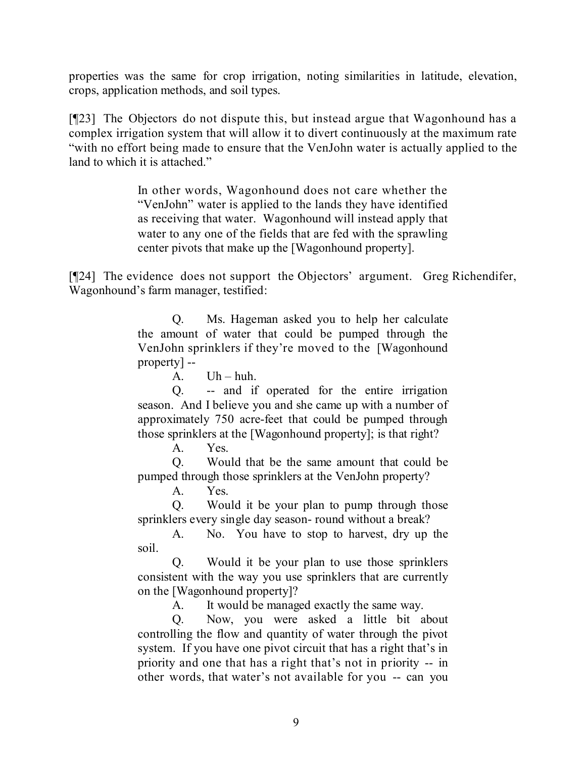properties was the same for crop irrigation, noting similarities in latitude, elevation, crops, application methods, and soil types.

[¶23] The Objectors do not dispute this, but instead argue that Wagonhound has a complex irrigation system that will allow it to divert continuously at the maximum rate "with no effort being made to ensure that the VenJohn water is actually applied to the land to which it is attached."

> In other words, Wagonhound does not care whether the "VenJohn" water is applied to the lands they have identified as receiving that water. Wagonhound will instead apply that water to any one of the fields that are fed with the sprawling center pivots that make up the [Wagonhound property].

[¶24] The evidence does not support the Objectors' argument. Greg Richendifer, Wagonhound's farm manager, testified:

> Q. Ms. Hageman asked you to help her calculate the amount of water that could be pumped through the VenJohn sprinklers if they're moved to the [Wagonhound property] --

 $A$   $Uh - huh$ .

Q. -- and if operated for the entire irrigation season. And I believe you and she came up with a number of approximately 750 acre-feet that could be pumped through those sprinklers at the [Wagonhound property]; is that right?

A. Yes.

Q. Would that be the same amount that could be pumped through those sprinklers at the VenJohn property?

A. Yes.

Q. Would it be your plan to pump through those sprinklers every single day season- round without a break?

A. No. You have to stop to harvest, dry up the soil.

Q. Would it be your plan to use those sprinklers consistent with the way you use sprinklers that are currently on the [Wagonhound property]?

A. It would be managed exactly the same way.

Q. Now, you were asked a little bit about controlling the flow and quantity of water through the pivot system. If you have one pivot circuit that has a right that's in priority and one that has a right that's not in priority -- in other words, that water's not available for you -- can you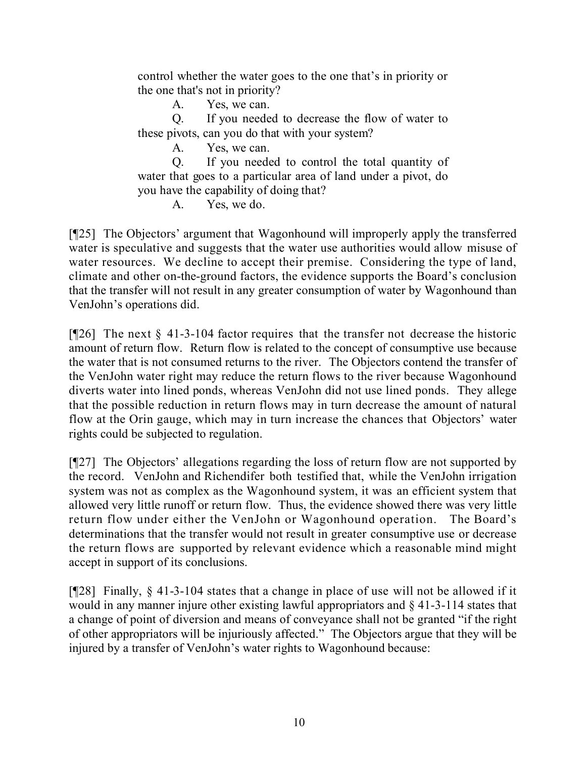control whether the water goes to the one that's in priority or the one that's not in priority?

A. Yes, we can.

Q. If you needed to decrease the flow of water to these pivots, can you do that with your system?

A. Yes, we can.

Q. If you needed to control the total quantity of water that goes to a particular area of land under a pivot, do you have the capability of doing that?

A. Yes, we do.

[¶25] The Objectors' argument that Wagonhound will improperly apply the transferred water is speculative and suggests that the water use authorities would allow misuse of water resources. We decline to accept their premise. Considering the type of land, climate and other on-the-ground factors, the evidence supports the Board's conclusion that the transfer will not result in any greater consumption of water by Wagonhound than VenJohn's operations did.

[¶26] The next § 41-3-104 factor requires that the transfer not decrease the historic amount of return flow. Return flow is related to the concept of consumptive use because the water that is not consumed returns to the river. The Objectors contend the transfer of the VenJohn water right may reduce the return flows to the river because Wagonhound diverts water into lined ponds, whereas VenJohn did not use lined ponds. They allege that the possible reduction in return flows may in turn decrease the amount of natural flow at the Orin gauge, which may in turn increase the chances that Objectors' water rights could be subjected to regulation.

[¶27] The Objectors' allegations regarding the loss of return flow are not supported by the record. VenJohn and Richendifer both testified that, while the VenJohn irrigation system was not as complex as the Wagonhound system, it was an efficient system that allowed very little runoff or return flow. Thus, the evidence showed there was very little return flow under either the VenJohn or Wagonhound operation. The Board's determinations that the transfer would not result in greater consumptive use or decrease the return flows are supported by relevant evidence which a reasonable mind might accept in support of its conclusions.

[ $[28]$ ] Finally,  $\S$  41-3-104 states that a change in place of use will not be allowed if it would in any manner injure other existing lawful appropriators and § 41-3-114 states that a change of point of diversion and means of conveyance shall not be granted "if the right of other appropriators will be injuriously affected." The Objectors argue that they will be injured by a transfer of VenJohn's water rights to Wagonhound because: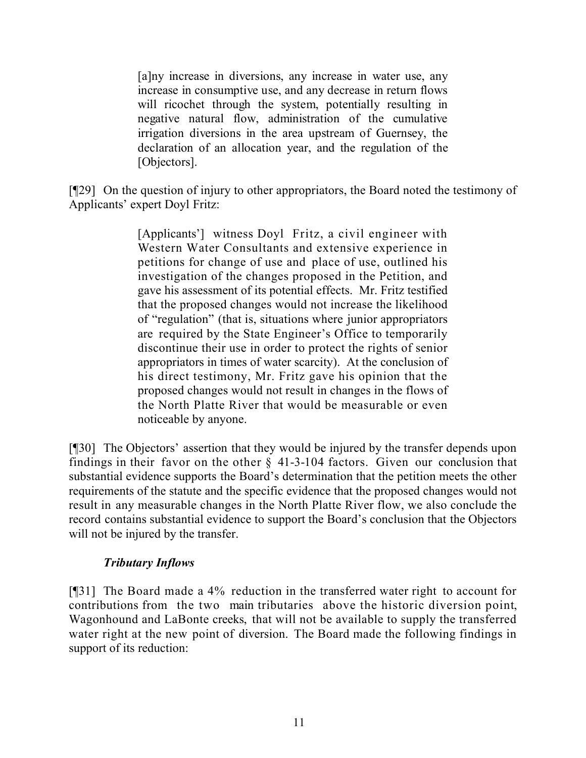[a]ny increase in diversions, any increase in water use, any increase in consumptive use, and any decrease in return flows will ricochet through the system, potentially resulting in negative natural flow, administration of the cumulative irrigation diversions in the area upstream of Guernsey, the declaration of an allocation year, and the regulation of the [Objectors].

[¶29] On the question of injury to other appropriators, the Board noted the testimony of Applicants' expert Doyl Fritz:

> [Applicants'] witness Doyl Fritz, a civil engineer with Western Water Consultants and extensive experience in petitions for change of use and place of use, outlined his investigation of the changes proposed in the Petition, and gave his assessment of its potential effects. Mr. Fritz testified that the proposed changes would not increase the likelihood of "regulation" (that is, situations where junior appropriators are required by the State Engineer's Office to temporarily discontinue their use in order to protect the rights of senior appropriators in times of water scarcity). At the conclusion of his direct testimony, Mr. Fritz gave his opinion that the proposed changes would not result in changes in the flows of the North Platte River that would be measurable or even noticeable by anyone.

[¶30] The Objectors' assertion that they would be injured by the transfer depends upon findings in their favor on the other  $\S$  41-3-104 factors. Given our conclusion that substantial evidence supports the Board's determination that the petition meets the other requirements of the statute and the specific evidence that the proposed changes would not result in any measurable changes in the North Platte River flow, we also conclude the record contains substantial evidence to support the Board's conclusion that the Objectors will not be injured by the transfer.

## *Tributary Inflows*

[¶31] The Board made a 4% reduction in the transferred water right to account for contributions from the two main tributaries above the historic diversion point, Wagonhound and LaBonte creeks, that will not be available to supply the transferred water right at the new point of diversion. The Board made the following findings in support of its reduction: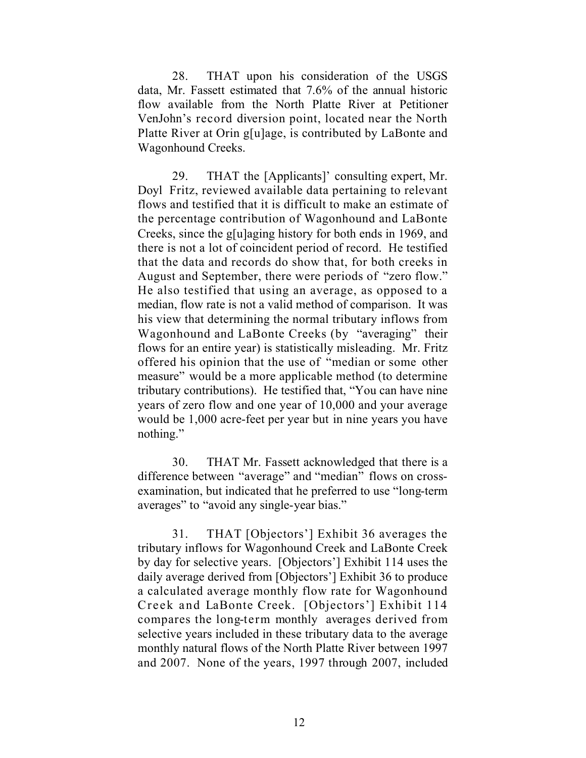28. THAT upon his consideration of the USGS data, Mr. Fassett estimated that 7.6% of the annual historic flow available from the North Platte River at Petitioner VenJohn's record diversion point, located near the North Platte River at Orin g[u]age, is contributed by LaBonte and Wagonhound Creeks.

29. THAT the [Applicants]' consulting expert, Mr. Doyl Fritz, reviewed available data pertaining to relevant flows and testified that it is difficult to make an estimate of the percentage contribution of Wagonhound and LaBonte Creeks, since the g[u]aging history for both ends in 1969, and there is not a lot of coincident period of record. He testified that the data and records do show that, for both creeks in August and September, there were periods of "zero flow." He also testified that using an average, as opposed to a median, flow rate is not a valid method of comparison. It was his view that determining the normal tributary inflows from Wagonhound and LaBonte Creeks (by "averaging" their flows for an entire year) is statistically misleading. Mr. Fritz offered his opinion that the use of "median or some other measure" would be a more applicable method (to determine tributary contributions). He testified that, "You can have nine years of zero flow and one year of 10,000 and your average would be 1,000 acre-feet per year but in nine years you have nothing."

30. THAT Mr. Fassett acknowledged that there is a difference between "average" and "median" flows on crossexamination, but indicated that he preferred to use "long-term averages" to "avoid any single-year bias."

31. THAT [Objectors'] Exhibit 36 averages the tributary inflows for Wagonhound Creek and LaBonte Creek by day for selective years. [Objectors'] Exhibit 114 uses the daily average derived from [Objectors'] Exhibit 36 to produce a calculated average monthly flow rate for Wagonhound Creek and LaBonte Creek. [Objectors'] Exhibit 114 compares the long-term monthly averages derived from selective years included in these tributary data to the average monthly natural flows of the North Platte River between 1997 and 2007. None of the years, 1997 through 2007, included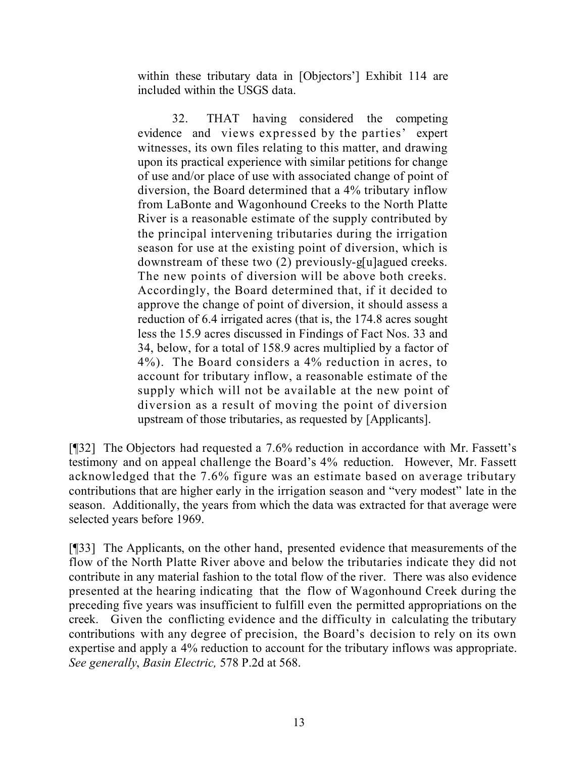within these tributary data in [Objectors'] Exhibit 114 are included within the USGS data.

32. THAT having considered the competing evidence and views expressed by the parties' expert witnesses, its own files relating to this matter, and drawing upon its practical experience with similar petitions for change of use and/or place of use with associated change of point of diversion, the Board determined that a 4% tributary inflow from LaBonte and Wagonhound Creeks to the North Platte River is a reasonable estimate of the supply contributed by the principal intervening tributaries during the irrigation season for use at the existing point of diversion, which is downstream of these two (2) previously-g[u]agued creeks. The new points of diversion will be above both creeks. Accordingly, the Board determined that, if it decided to approve the change of point of diversion, it should assess a reduction of 6.4 irrigated acres (that is, the 174.8 acres sought less the 15.9 acres discussed in Findings of Fact Nos. 33 and 34, below, for a total of 158.9 acres multiplied by a factor of 4%). The Board considers a 4% reduction in acres, to account for tributary inflow, a reasonable estimate of the supply which will not be available at the new point of diversion as a result of moving the point of diversion upstream of those tributaries, as requested by [Applicants].

[¶32] The Objectors had requested a 7.6% reduction in accordance with Mr. Fassett's testimony and on appeal challenge the Board's 4% reduction. However, Mr. Fassett acknowledged that the 7.6% figure was an estimate based on average tributary contributions that are higher early in the irrigation season and "very modest" late in the season. Additionally, the years from which the data was extracted for that average were selected years before 1969.

[¶33] The Applicants, on the other hand, presented evidence that measurements of the flow of the North Platte River above and below the tributaries indicate they did not contribute in any material fashion to the total flow of the river. There was also evidence presented at the hearing indicating that the flow of Wagonhound Creek during the preceding five years was insufficient to fulfill even the permitted appropriations on the creek. Given the conflicting evidence and the difficulty in calculating the tributary contributions with any degree of precision, the Board's decision to rely on its own expertise and apply a 4% reduction to account for the tributary inflows was appropriate. *See generally*, *Basin Electric,* 578 P.2d at 568.